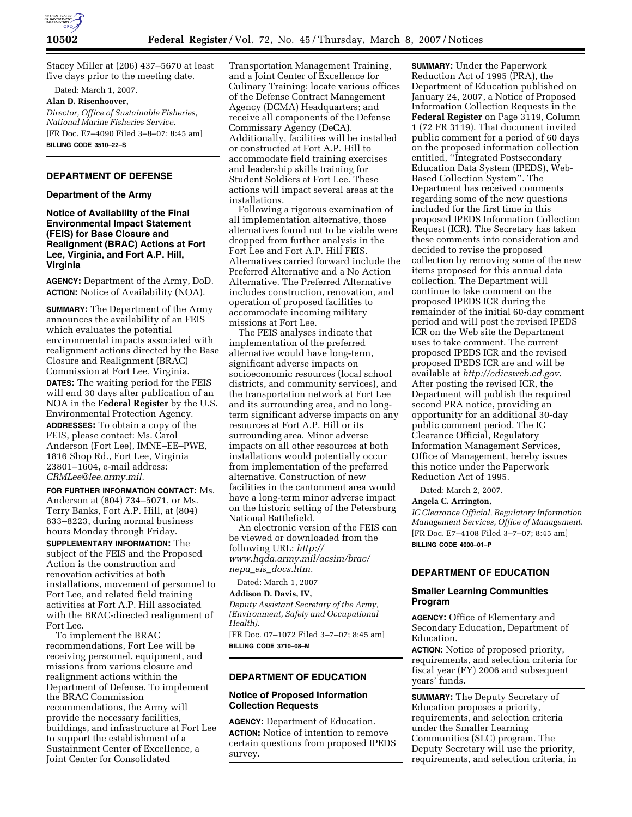

Stacey Miller at (206) 437–5670 at least five days prior to the meeting date.

Dated: March 1, 2007.

# **Alan D. Risenhoover,**

*Director, Office of Sustainable Fisheries, National Marine Fisheries Service.*  [FR Doc. E7–4090 Filed 3–8–07; 8:45 am] **BILLING CODE 3510–22–S** 

# **DEPARTMENT OF DEFENSE**

# **Department of the Army**

**Notice of Availability of the Final Environmental Impact Statement (FEIS) for Base Closure and Realignment (BRAC) Actions at Fort Lee, Virginia, and Fort A.P. Hill, Virginia** 

**AGENCY:** Department of the Army, DoD. **ACTION:** Notice of Availability (NOA).

**SUMMARY:** The Department of the Army announces the availability of an FEIS which evaluates the potential environmental impacts associated with realignment actions directed by the Base Closure and Realignment (BRAC) Commission at Fort Lee, Virginia. **DATES:** The waiting period for the FEIS will end 30 days after publication of an NOA in the **Federal Register** by the U.S. Environmental Protection Agency. **ADDRESSES:** To obtain a copy of the FEIS, please contact: Ms. Carol Anderson (Fort Lee), IMNE–EE–PWE, 1816 Shop Rd., Fort Lee, Virginia 23801–1604, e-mail address: *CRMLee@lee.army.mil.* 

# **FOR FURTHER INFORMATION CONTACT:** Ms.

Anderson at (804) 734–5071, or Ms. Terry Banks, Fort A.P. Hill, at (804) 633–8223, during normal business hours Monday through Friday.

**SUPPLEMENTARY INFORMATION:** The subject of the FEIS and the Proposed Action is the construction and renovation activities at both installations, movement of personnel to Fort Lee, and related field training activities at Fort A.P. Hill associated with the BRAC-directed realignment of Fort Lee.

To implement the BRAC recommendations, Fort Lee will be receiving personnel, equipment, and missions from various closure and realignment actions within the Department of Defense. To implement the BRAC Commission recommendations, the Army will provide the necessary facilities, buildings, and infrastructure at Fort Lee to support the establishment of a Sustainment Center of Excellence, a Joint Center for Consolidated

Transportation Management Training, and a Joint Center of Excellence for Culinary Training; locate various offices of the Defense Contract Management Agency (DCMA) Headquarters; and receive all components of the Defense Commissary Agency (DeCA). Additionally, facilities will be installed or constructed at Fort A.P. Hill to accommodate field training exercises and leadership skills training for Student Soldiers at Fort Lee. These actions will impact several areas at the installations.

Following a rigorous examination of all implementation alternative, those alternatives found not to be viable were dropped from further analysis in the Fort Lee and Fort A.P. Hill FEIS. Alternatives carried forward include the Preferred Alternative and a No Action Alternative. The Preferred Alternative includes construction, renovation, and operation of proposed facilities to accommodate incoming military missions at Fort Lee.

The FEIS analyses indicate that implementation of the preferred alternative would have long-term, significant adverse impacts on socioeconomic resources (local school districts, and community services), and the transportation network at Fort Lee and its surrounding area, and no longterm significant adverse impacts on any resources at Fort A.P. Hill or its surrounding area. Minor adverse impacts on all other resources at both installations would potentially occur from implementation of the preferred alternative. Construction of new facilities in the cantonment area would have a long-term minor adverse impact on the historic setting of the Petersburg National Battlefield.

An electronic version of the FEIS can be viewed or downloaded from the following URL: *http:// www.hqda.army.mil/acsim/brac/ nepa*\_*eis*\_*docs.htm.* 

Dated: March 1, 2007

### **Addison D. Davis, IV,**

*Deputy Assistant Secretary of the Army, (Environment, Safety and Occupational Health).* 

[FR Doc. 07–1072 Filed 3–7–07; 8:45 am] **BILLING CODE 3710–08–M** 

# **DEPARTMENT OF EDUCATION**

# **Notice of Proposed Information Collection Requests**

**AGENCY:** Department of Education. **ACTION:** Notice of intention to remove certain questions from proposed IPEDS survey.

**SUMMARY:** Under the Paperwork Reduction Act of 1995 (PRA), the Department of Education published on January 24, 2007, a Notice of Proposed Information Collection Requests in the **Federal Register** on Page 3119, Column 1 (72 FR 3119). That document invited public comment for a period of 60 days on the proposed information collection entitled, ''Integrated Postsecondary Education Data System (IPEDS), Web-Based Collection System''. The Department has received comments regarding some of the new questions included for the first time in this proposed IPEDS Information Collection Request (ICR). The Secretary has taken these comments into consideration and decided to revise the proposed collection by removing some of the new items proposed for this annual data collection. The Department will continue to take comment on the proposed IPEDS ICR during the remainder of the initial 60-day comment period and will post the revised IPEDS ICR on the Web site the Department uses to take comment. The current proposed IPEDS ICR and the revised proposed IPEDS ICR are and will be available at *http://edicsweb.ed.gov*. After posting the revised ICR, the Department will publish the required second PRA notice, providing an opportunity for an additional 30-day public comment period. The IC Clearance Official, Regulatory Information Management Services, Office of Management, hereby issues this notice under the Paperwork Reduction Act of 1995.

Dated: March 2, 2007.

### **Angela C. Arrington,**

*IC Clearance Official, Regulatory Information Management Services, Office of Management.*  [FR Doc. E7–4108 Filed 3–7–07; 8:45 am] **BILLING CODE 4000–01–P** 

# **DEPARTMENT OF EDUCATION**

# **Smaller Learning Communities Program**

**AGENCY:** Office of Elementary and Secondary Education, Department of Education.

**ACTION:** Notice of proposed priority, requirements, and selection criteria for fiscal year (FY) 2006 and subsequent years' funds.

**SUMMARY:** The Deputy Secretary of Education proposes a priority, requirements, and selection criteria under the Smaller Learning Communities (SLC) program. The Deputy Secretary will use the priority, requirements, and selection criteria, in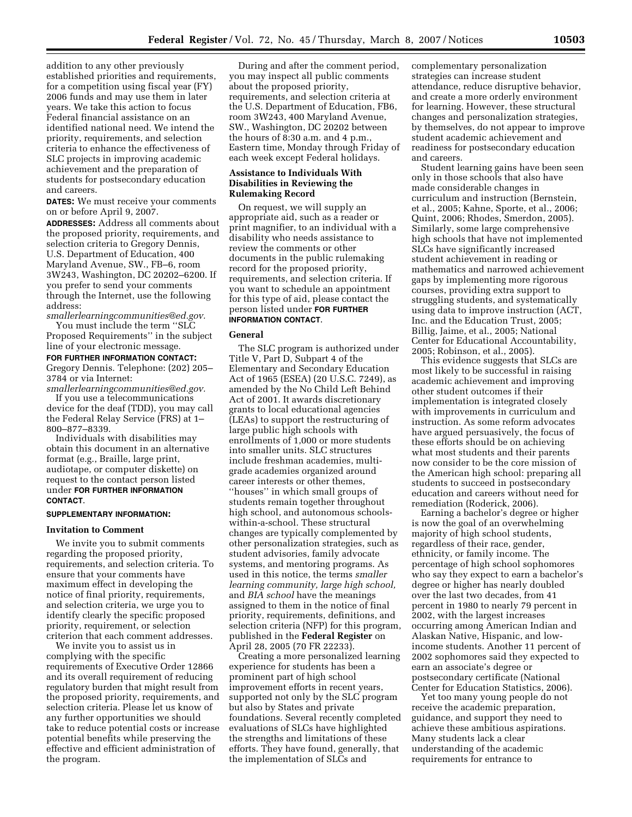addition to any other previously established priorities and requirements, for a competition using fiscal year (FY) 2006 funds and may use them in later years. We take this action to focus Federal financial assistance on an identified national need. We intend the priority, requirements, and selection criteria to enhance the effectiveness of SLC projects in improving academic achievement and the preparation of students for postsecondary education and careers.

**DATES:** We must receive your comments on or before April 9, 2007.

**ADDRESSES:** Address all comments about the proposed priority, requirements, and selection criteria to Gregory Dennis, U.S. Department of Education, 400 Maryland Avenue, SW., FB–6, room 3W243, Washington, DC 20202–6200. If you prefer to send your comments through the Internet, use the following address:

*smallerlearningcommunities@ed.gov.* 

You must include the term ''SLC Proposed Requirements'' in the subject line of your electronic message.

**FOR FURTHER INFORMATION CONTACT:**  Gregory Dennis. Telephone: (202) 205– 3784 or via Internet:

*smallerlearningcommunities@ed.gov.*  If you use a telecommunications device for the deaf (TDD), you may call the Federal Relay Service (FRS) at 1– 800–877–8339.

Individuals with disabilities may obtain this document in an alternative format (e.g., Braille, large print, audiotape, or computer diskette) on request to the contact person listed under **FOR FURTHER INFORMATION CONTACT**.

## **SUPPLEMENTARY INFORMATION:**

### **Invitation to Comment**

We invite you to submit comments regarding the proposed priority, requirements, and selection criteria. To ensure that your comments have maximum effect in developing the notice of final priority, requirements, and selection criteria, we urge you to identify clearly the specific proposed priority, requirement, or selection criterion that each comment addresses.

We invite you to assist us in complying with the specific requirements of Executive Order 12866 and its overall requirement of reducing regulatory burden that might result from the proposed priority, requirements, and selection criteria. Please let us know of any further opportunities we should take to reduce potential costs or increase potential benefits while preserving the effective and efficient administration of the program.

During and after the comment period, you may inspect all public comments about the proposed priority, requirements, and selection criteria at the U.S. Department of Education, FB6, room 3W243, 400 Maryland Avenue, SW., Washington, DC 20202 between the hours of 8:30 a.m. and 4 p.m., Eastern time, Monday through Friday of each week except Federal holidays.

### **Assistance to Individuals With Disabilities in Reviewing the Rulemaking Record**

On request, we will supply an appropriate aid, such as a reader or print magnifier, to an individual with a disability who needs assistance to review the comments or other documents in the public rulemaking record for the proposed priority, requirements, and selection criteria. If you want to schedule an appointment for this type of aid, please contact the person listed under **FOR FURTHER INFORMATION CONTACT**.

### **General**

The SLC program is authorized under Title V, Part D, Subpart 4 of the Elementary and Secondary Education Act of 1965 (ESEA) (20 U.S.C. 7249), as amended by the No Child Left Behind Act of 2001. It awards discretionary grants to local educational agencies (LEAs) to support the restructuring of large public high schools with enrollments of 1,000 or more students into smaller units. SLC structures include freshman academies, multigrade academies organized around career interests or other themes, ''houses'' in which small groups of students remain together throughout high school, and autonomous schoolswithin-a-school. These structural changes are typically complemented by other personalization strategies, such as student advisories, family advocate systems, and mentoring programs. As used in this notice, the terms *smaller learning community, large high school,*  and *BIA school* have the meanings assigned to them in the notice of final priority, requirements, definitions, and selection criteria (NFP) for this program, published in the **Federal Register** on April 28, 2005 (70 FR 22233).

Creating a more personalized learning experience for students has been a prominent part of high school improvement efforts in recent years, supported not only by the SLC program but also by States and private foundations. Several recently completed evaluations of SLCs have highlighted the strengths and limitations of these efforts. They have found, generally, that the implementation of SLCs and

complementary personalization strategies can increase student attendance, reduce disruptive behavior, and create a more orderly environment for learning. However, these structural changes and personalization strategies, by themselves, do not appear to improve student academic achievement and readiness for postsecondary education and careers.

Student learning gains have been seen only in those schools that also have made considerable changes in curriculum and instruction (Bernstein, et al., 2005; Kahne, Sporte, et al., 2006; Quint, 2006; Rhodes, Smerdon, 2005). Similarly, some large comprehensive high schools that have not implemented SLCs have significantly increased student achievement in reading or mathematics and narrowed achievement gaps by implementing more rigorous courses, providing extra support to struggling students, and systematically using data to improve instruction (ACT, Inc. and the Education Trust, 2005; Billig, Jaime, et al., 2005; National Center for Educational Accountability, 2005; Robinson, et al., 2005).

This evidence suggests that SLCs are most likely to be successful in raising academic achievement and improving other student outcomes if their implementation is integrated closely with improvements in curriculum and instruction. As some reform advocates have argued persuasively, the focus of these efforts should be on achieving what most students and their parents now consider to be the core mission of the American high school: preparing all students to succeed in postsecondary education and careers without need for remediation (Roderick, 2006).

Earning a bachelor's degree or higher is now the goal of an overwhelming majority of high school students, regardless of their race, gender, ethnicity, or family income. The percentage of high school sophomores who say they expect to earn a bachelor's degree or higher has nearly doubled over the last two decades, from 41 percent in 1980 to nearly 79 percent in 2002, with the largest increases occurring among American Indian and Alaskan Native, Hispanic, and lowincome students. Another 11 percent of 2002 sophomores said they expected to earn an associate's degree or postsecondary certificate (National Center for Education Statistics, 2006).

Yet too many young people do not receive the academic preparation, guidance, and support they need to achieve these ambitious aspirations. Many students lack a clear understanding of the academic requirements for entrance to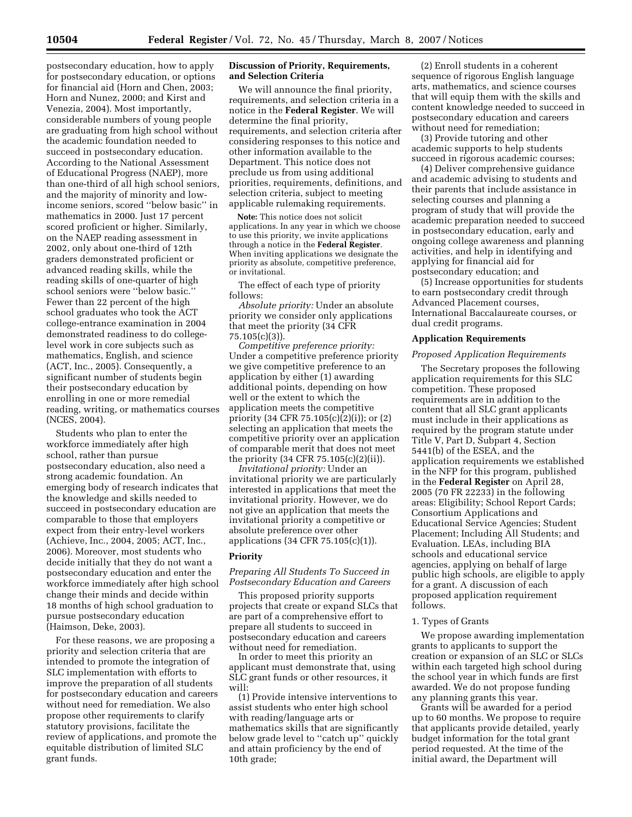postsecondary education, how to apply for postsecondary education, or options for financial aid (Horn and Chen, 2003; Horn and Nunez, 2000; and Kirst and Venezia, 2004). Most importantly, considerable numbers of young people are graduating from high school without the academic foundation needed to succeed in postsecondary education. According to the National Assessment of Educational Progress (NAEP), more than one-third of all high school seniors, and the majority of minority and lowincome seniors, scored ''below basic'' in mathematics in 2000. Just 17 percent scored proficient or higher. Similarly, on the NAEP reading assessment in 2002, only about one-third of 12th graders demonstrated proficient or advanced reading skills, while the reading skills of one-quarter of high school seniors were ''below basic.'' Fewer than 22 percent of the high school graduates who took the ACT college-entrance examination in 2004 demonstrated readiness to do collegelevel work in core subjects such as mathematics, English, and science (ACT, Inc., 2005). Consequently, a significant number of students begin their postsecondary education by enrolling in one or more remedial reading, writing, or mathematics courses (NCES, 2004).

Students who plan to enter the workforce immediately after high school, rather than pursue postsecondary education, also need a strong academic foundation. An emerging body of research indicates that the knowledge and skills needed to succeed in postsecondary education are comparable to those that employers expect from their entry-level workers (Achieve, Inc., 2004, 2005; ACT, Inc., 2006). Moreover, most students who decide initially that they do not want a postsecondary education and enter the workforce immediately after high school change their minds and decide within 18 months of high school graduation to pursue postsecondary education (Haimson, Deke, 2003).

For these reasons, we are proposing a priority and selection criteria that are intended to promote the integration of SLC implementation with efforts to improve the preparation of all students for postsecondary education and careers without need for remediation. We also propose other requirements to clarify statutory provisions, facilitate the review of applications, and promote the equitable distribution of limited SLC grant funds.

# **Discussion of Priority, Requirements, and Selection Criteria**

We will announce the final priority, requirements, and selection criteria in a notice in the **Federal Register**. We will determine the final priority, requirements, and selection criteria after considering responses to this notice and other information available to the Department. This notice does not preclude us from using additional priorities, requirements, definitions, and selection criteria, subject to meeting applicable rulemaking requirements.

**Note:** This notice does not solicit applications. In any year in which we choose to use this priority, we invite applications through a notice in the **Federal Register**. When inviting applications we designate the priority as absolute, competitive preference, or invitational.

The effect of each type of priority follows:

*Absolute priority:* Under an absolute priority we consider only applications that meet the priority (34 CFR 75.105(c)(3)).

*Competitive preference priority:*  Under a competitive preference priority we give competitive preference to an application by either (1) awarding additional points, depending on how well or the extent to which the application meets the competitive priority (34 CFR 75.105(c)(2)(i)); or (2) selecting an application that meets the competitive priority over an application of comparable merit that does not meet the priority (34 CFR 75.105(c)(2)(ii)).

*Invitational priority:* Under an invitational priority we are particularly interested in applications that meet the invitational priority. However, we do not give an application that meets the invitational priority a competitive or absolute preference over other applications (34 CFR 75.105(c)(1)).

# **Priority**

# *Preparing All Students To Succeed in Postsecondary Education and Careers*

This proposed priority supports projects that create or expand SLCs that are part of a comprehensive effort to prepare all students to succeed in postsecondary education and careers without need for remediation.

In order to meet this priority an applicant must demonstrate that, using SLC grant funds or other resources, it will:

(1) Provide intensive interventions to assist students who enter high school with reading/language arts or mathematics skills that are significantly below grade level to "catch up" quickly and attain proficiency by the end of 10th grade;

(2) Enroll students in a coherent sequence of rigorous English language arts, mathematics, and science courses that will equip them with the skills and content knowledge needed to succeed in postsecondary education and careers without need for remediation;

(3) Provide tutoring and other academic supports to help students succeed in rigorous academic courses;

(4) Deliver comprehensive guidance and academic advising to students and their parents that include assistance in selecting courses and planning a program of study that will provide the academic preparation needed to succeed in postsecondary education, early and ongoing college awareness and planning activities, and help in identifying and applying for financial aid for postsecondary education; and

(5) Increase opportunities for students to earn postsecondary credit through Advanced Placement courses, International Baccalaureate courses, or dual credit programs.

# **Application Requirements**

### *Proposed Application Requirements*

The Secretary proposes the following application requirements for this SLC competition. These proposed requirements are in addition to the content that all SLC grant applicants must include in their applications as required by the program statute under Title V, Part D, Subpart 4, Section 5441(b) of the ESEA, and the application requirements we established in the NFP for this program, published in the **Federal Register** on April 28, 2005 (70 FR 22233) in the following areas: Eligibility; School Report Cards; Consortium Applications and Educational Service Agencies; Student Placement; Including All Students; and Evaluation. LEAs, including BIA schools and educational service agencies, applying on behalf of large public high schools, are eligible to apply for a grant. A discussion of each proposed application requirement follows.

# 1. Types of Grants

We propose awarding implementation grants to applicants to support the creation or expansion of an SLC or SLCs within each targeted high school during the school year in which funds are first awarded. We do not propose funding any planning grants this year.

Grants will be awarded for a period up to 60 months. We propose to require that applicants provide detailed, yearly budget information for the total grant period requested. At the time of the initial award, the Department will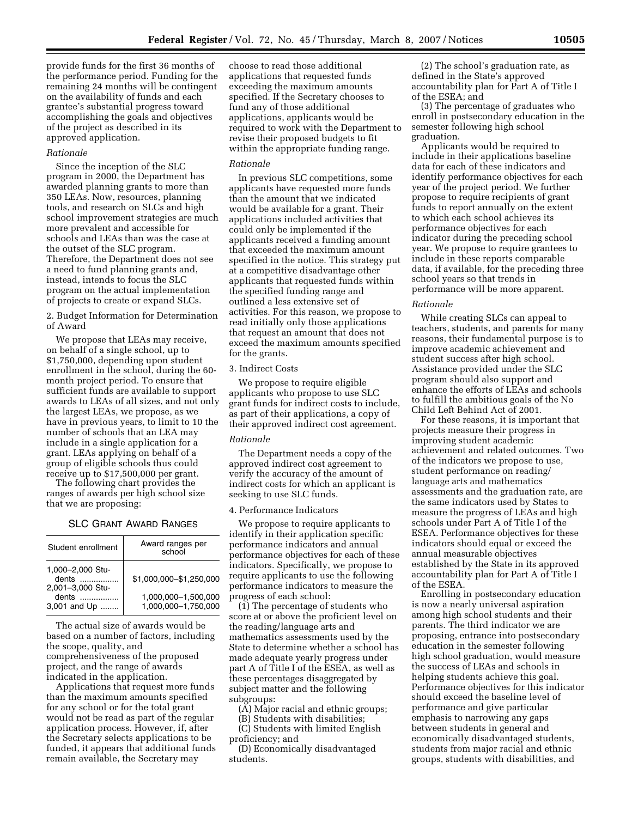provide funds for the first 36 months of the performance period. Funding for the remaining 24 months will be contingent on the availability of funds and each grantee's substantial progress toward accomplishing the goals and objectives of the project as described in its approved application.

### *Rationale*

Since the inception of the SLC program in 2000, the Department has awarded planning grants to more than 350 LEAs. Now, resources, planning tools, and research on SLCs and high school improvement strategies are much more prevalent and accessible for schools and LEAs than was the case at the outset of the SLC program. Therefore, the Department does not see a need to fund planning grants and, instead, intends to focus the SLC program on the actual implementation of projects to create or expand SLCs.

2. Budget Information for Determination of Award

We propose that LEAs may receive, on behalf of a single school, up to \$1,750,000, depending upon student enrollment in the school, during the 60 month project period. To ensure that sufficient funds are available to support awards to LEAs of all sizes, and not only the largest LEAs, we propose, as we have in previous years, to limit to 10 the number of schools that an LEA may include in a single application for a grant. LEAs applying on behalf of a group of eligible schools thus could receive up to \$17,500,000 per grant.

The following chart provides the ranges of awards per high school size that we are proposing:

| SLC Grant Award Ranges |
|------------------------|
|                        |

| Student enrollment                            | Award ranges per<br>school                 |
|-----------------------------------------------|--------------------------------------------|
| 1,000-2,000 Stu-<br>dents<br>2,001-3,000 Stu- | \$1.000.000-\$1.250.000                    |
| dents<br>3,001 and Up                         | 1,000,000-1,500,000<br>1,000,000-1,750,000 |

The actual size of awards would be based on a number of factors, including the scope, quality, and comprehensiveness of the proposed project, and the range of awards indicated in the application.

Applications that request more funds than the maximum amounts specified for any school or for the total grant would not be read as part of the regular application process. However, if, after the Secretary selects applications to be funded, it appears that additional funds remain available, the Secretary may

choose to read those additional applications that requested funds exceeding the maximum amounts specified. If the Secretary chooses to fund any of those additional applications, applicants would be required to work with the Department to revise their proposed budgets to fit within the appropriate funding range.

#### *Rationale*

In previous SLC competitions, some applicants have requested more funds than the amount that we indicated would be available for a grant. Their applications included activities that could only be implemented if the applicants received a funding amount that exceeded the maximum amount specified in the notice. This strategy put at a competitive disadvantage other applicants that requested funds within the specified funding range and outlined a less extensive set of activities. For this reason, we propose to read initially only those applications that request an amount that does not exceed the maximum amounts specified for the grants.

#### 3. Indirect Costs

We propose to require eligible applicants who propose to use SLC grant funds for indirect costs to include, as part of their applications, a copy of their approved indirect cost agreement.

#### *Rationale*

The Department needs a copy of the approved indirect cost agreement to verify the accuracy of the amount of indirect costs for which an applicant is seeking to use SLC funds.

### 4. Performance Indicators

We propose to require applicants to identify in their application specific performance indicators and annual performance objectives for each of these indicators. Specifically, we propose to require applicants to use the following performance indicators to measure the progress of each school:

(1) The percentage of students who score at or above the proficient level on the reading/language arts and mathematics assessments used by the State to determine whether a school has made adequate yearly progress under part A of Title I of the ESEA, as well as these percentages disaggregated by subject matter and the following subgroups:

(A) Major racial and ethnic groups;

(B) Students with disabilities;

(C) Students with limited English proficiency; and

(D) Economically disadvantaged students.

(2) The school's graduation rate, as defined in the State's approved accountability plan for Part A of Title I of the ESEA; and

(3) The percentage of graduates who enroll in postsecondary education in the semester following high school graduation.

Applicants would be required to include in their applications baseline data for each of these indicators and identify performance objectives for each year of the project period. We further propose to require recipients of grant funds to report annually on the extent to which each school achieves its performance objectives for each indicator during the preceding school year. We propose to require grantees to include in these reports comparable data, if available, for the preceding three school years so that trends in performance will be more apparent.

#### *Rationale*

While creating SLCs can appeal to teachers, students, and parents for many reasons, their fundamental purpose is to improve academic achievement and student success after high school. Assistance provided under the SLC program should also support and enhance the efforts of LEAs and schools to fulfill the ambitious goals of the No Child Left Behind Act of 2001.

For these reasons, it is important that projects measure their progress in improving student academic achievement and related outcomes. Two of the indicators we propose to use, student performance on reading/ language arts and mathematics assessments and the graduation rate, are the same indicators used by States to measure the progress of LEAs and high schools under Part A of Title I of the ESEA. Performance objectives for these indicators should equal or exceed the annual measurable objectives established by the State in its approved accountability plan for Part A of Title I of the ESEA.

Enrolling in postsecondary education is now a nearly universal aspiration among high school students and their parents. The third indicator we are proposing, entrance into postsecondary education in the semester following high school graduation, would measure the success of LEAs and schools in helping students achieve this goal. Performance objectives for this indicator should exceed the baseline level of performance and give particular emphasis to narrowing any gaps between students in general and economically disadvantaged students, students from major racial and ethnic groups, students with disabilities, and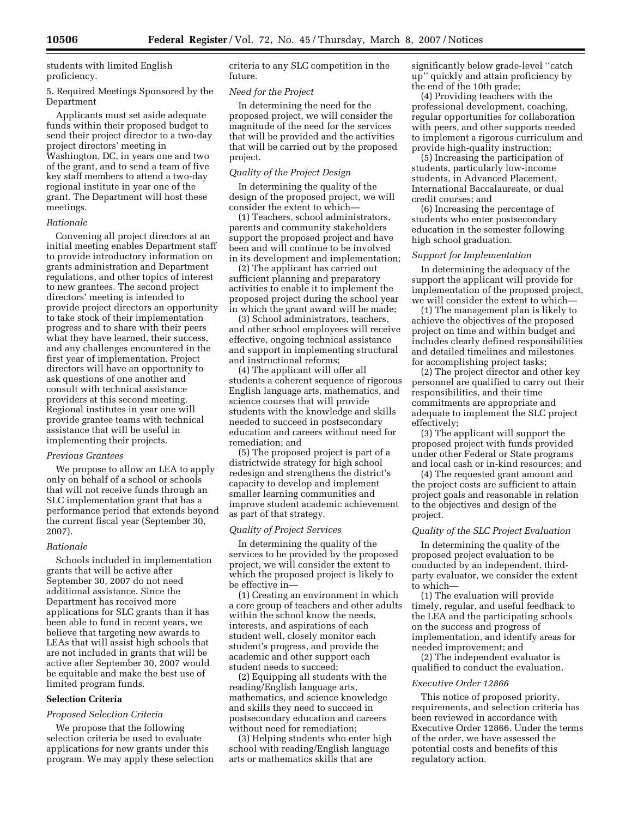students with limited English proficiency.

5. Required Meetings Sponsored by the Department

Applicants must set aside adequate funds within their proposed budget to send their project director to a two-day project directors' meeting in Washington, DC, in years one and two of the grant, and to send a team of five key staff members to attend a two-day regional institute in year one of the grant. The Department will host these meetings.

# *Rationale*

Convening all project directors at an initial meeting enables Department staff to provide introductory information on grants administration and Department regulations, and other topics of interest to new grantees. The second project directors' meeting is intended to provide project directors an opportunity to take stock of their implementation progress and to share with their peers what they have learned, their success, and any challenges encountered in the first year of implementation. Project directors will have an opportunity to ask questions of one another and consult with technical assistance providers at this second meeting. Regional institutes in year one will provide grantee teams with technical assistance that will be useful in implementing their projects.

# *Previous Grantees*

We propose to allow an LEA to apply only on behalf of a school or schools that will not receive funds through an SLC implementation grant that has a performance period that extends beyond the current fiscal year (September 30, 2007).

### *Rationale*

Schools included in implementation grants that will be active after September 30, 2007 do not need additional assistance. Since the Department has received more applications for SLC grants than it has been able to fund in recent years, we believe that targeting new awards to LEAs that will assist high schools that are not included in grants that will be active after September 30, 2007 would be equitable and make the best use of limited program funds.

# **Selection Criteria**

### *Proposed Selection Criteria*

We propose that the following selection criteria be used to evaluate applications for new grants under this program. We may apply these selection criteria to any SLC competition in the future.

## *Need for the Project*

In determining the need for the proposed project, we will consider the magnitude of the need for the services that will be provided and the activities that will be carried out by the proposed project.

#### *Quality of the Project Design*

In determining the quality of the design of the proposed project, we will consider the extent to which—

(1) Teachers, school administrators, parents and community stakeholders support the proposed project and have been and will continue to be involved in its development and implementation;

(2) The applicant has carried out sufficient planning and preparatory activities to enable it to implement the proposed project during the school year in which the grant award will be made;

(3) School administrators, teachers, and other school employees will receive effective, ongoing technical assistance and support in implementing structural and instructional reforms;

(4) The applicant will offer all students a coherent sequence of rigorous English language arts, mathematics, and science courses that will provide students with the knowledge and skills needed to succeed in postsecondary education and careers without need for remediation; and

(5) The proposed project is part of a districtwide strategy for high school redesign and strengthens the district's capacity to develop and implement smaller learning communities and improve student academic achievement as part of that strategy.

### *Quality of Project Services*

In determining the quality of the services to be provided by the proposed project, we will consider the extent to which the proposed project is likely to be effective in—

(1) Creating an environment in which a core group of teachers and other adults within the school know the needs, interests, and aspirations of each student well, closely monitor each student's progress, and provide the academic and other support each student needs to succeed;

(2) Equipping all students with the reading/English language arts, mathematics, and science knowledge and skills they need to succeed in postsecondary education and careers without need for remediation;

(3) Helping students who enter high school with reading/English language arts or mathematics skills that are

significantly below grade-level ''catch up'' quickly and attain proficiency by the end of the 10th grade;

(4) Providing teachers with the professional development, coaching, regular opportunities for collaboration with peers, and other supports needed to implement a rigorous curriculum and provide high-quality instruction;

(5) Increasing the participation of students, particularly low-income students, in Advanced Placement, International Baccalaureate, or dual credit courses; and

(6) Increasing the percentage of students who enter postsecondary education in the semester following high school graduation.

## *Support for Implementation*

In determining the adequacy of the support the applicant will provide for implementation of the proposed project, we will consider the extent to which—

(1) The management plan is likely to achieve the objectives of the proposed project on time and within budget and includes clearly defined responsibilities and detailed timelines and milestones for accomplishing project tasks;

(2) The project director and other key personnel are qualified to carry out their responsibilities, and their time commitments are appropriate and adequate to implement the SLC project effectively;

(3) The applicant will support the proposed project with funds provided under other Federal or State programs and local cash or in-kind resources; and

(4) The requested grant amount and the project costs are sufficient to attain project goals and reasonable in relation to the objectives and design of the project.

# *Quality of the SLC Project Evaluation*

In determining the quality of the proposed project evaluation to be conducted by an independent, thirdparty evaluator, we consider the extent to which—

(1) The evaluation will provide timely, regular, and useful feedback to the LEA and the participating schools on the success and progress of implementation, and identify areas for needed improvement; and

(2) The independent evaluator is qualified to conduct the evaluation.

### *Executive Order 12866*

This notice of proposed priority, requirements, and selection criteria has been reviewed in accordance with Executive Order 12866. Under the terms of the order, we have assessed the potential costs and benefits of this regulatory action.